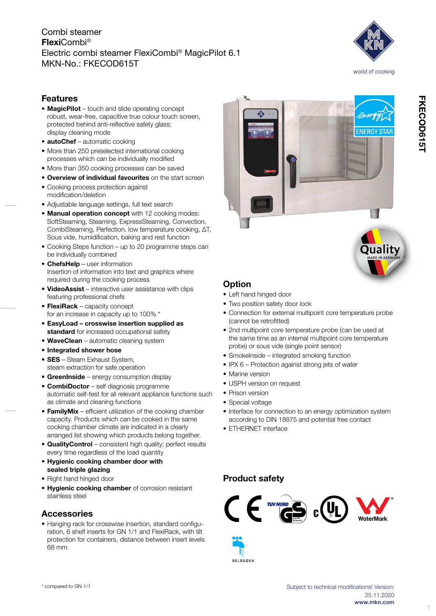# Combi steamer FlexiCombi® Electric combi steamer FlexiCombi® MagicPilot 6.1 MKN-No.: FKECOD615T



# Features

- MagicPilot touch and slide operating concept robust, wear-free, capacitive true colour touch screen, protected behind anti-reflective safety glass; display cleaning mode
- **autoChef** automatic cooking
- More than 250 preselected international cooking processes which can be individually modified
- More than 350 cooking processes can be saved
- Overview of individual favourites on the start screen • Cooking process protection against
- modification/deletion
- • Adjustable language settings, full text search
- Manual operation concept with 12 cooking modes: SoftSteaming, Steaming, ExpressSteaming, Convection, CombiSteaming, Perfection, low temperature cooking, ΔT, Sous vide, humidification, baking and rest function
- Cooking Steps function up to 20 programme steps can be individually combined
- ChefsHelp user information Insertion of information into text and graphics where required during the cooking process
- VideoAssist interactive user assistance with clips featuring professional chefs
- FlexiRack capacity concept for an increase in capacity up to 100% \*
- • EasyLoad crosswise insertion supplied as standard for increased occupational safety
- WaveClean automatic cleaning system
- Integrated shower hose
- **SES** Steam Exhaust System, steam extraction for safe operation
- GreenInside energy consumption display
- **CombiDoctor** self diagnosis programme automatic self-test for all relevant appliance functions such as climate and cleaning functions
- FamilyMix efficient utilization of the cooking chamber capacity. Products which can be cooked in the same cooking chamber climate are indicated in a clearly arranged list showing which products belong together.
- • QualityControl consistent high quality; perfect results every time regardless of the load quantity
- • Hygienic cooking chamber door with sealed triple glazing
- Right hand hinged door
- Hygienic cooking chamber of corrosion resistant stainless steel

#### **Accessories**

• Hanging rack for crosswise insertion, standard configuration, 6 shelf inserts for GN 1/1 and FlexiRack, with tilt protection for containers, distance between insert levels 68 mm





# **Option**

- Left hand hinged door
- Two position safety door lock
- Connection for external multipoint core temperature probe (cannot be retrofitted)
- 2nd multipoint core temperature probe (can be used at the same time as an internal multipoint core temperature probe) or sous vide (single point sensor)
- Smokelnside integrated smoking function
- IPX 6 Protection against strong jets of water
- Marine version
- USPH version on request
- Prison version
- Special voltage
- Interface for connection to an energy optimization system according to DIN 18875 and potential free contact
- ETHERNET interface

### Product safety

**BELGAQUA** 



FKECOD615T

1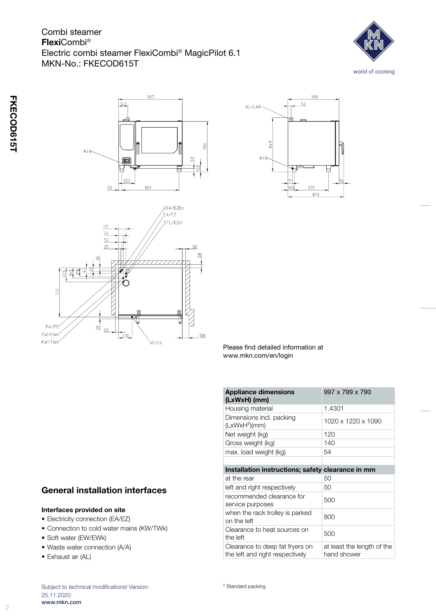# Combi steamer FlexiCombi® Electric combi steamer FlexiCombi® MagicPilot 6.1 MKN-No.: FKECOD615T









Please find detailed information at www.mkn.com/en/login

| <b>Appliance dimensions</b><br>(LxWxH) (mm)                        | 997 x 799 x 790                           |
|--------------------------------------------------------------------|-------------------------------------------|
| Housing material                                                   | 1.4301                                    |
| Dimensions incl. packing<br>(LxWxH <sup>2</sup> )(mm)              | 1020 x 1220 x 1090                        |
| Net weight (kg)                                                    | 120                                       |
| Gross weight (kg)                                                  | 140                                       |
| max. load weight (kg)                                              | 54                                        |
|                                                                    |                                           |
| Installation instructions; safety clearance in mm                  |                                           |
| at the rear                                                        | 50                                        |
| left and right respectively                                        | 50                                        |
| recommended clearance for<br>service purposes                      | 500                                       |
| when the rack trolley is parked<br>on the left                     | 800                                       |
| Clearance to heat sources on<br>the left                           | 500                                       |
| Clearance to deep fat fryers on<br>the left and right respectively | at least the length of the<br>hand shower |

### General installation interfaces

#### Interfaces provided on site

- Electricity connection (EA/EZ)
- • Connection to cold water mains (KW/TWk)
- Soft water (EW/EWk)
- Waste water connection (A/A)
- Exhaust air (AL)

Subject to technical modifications! Version: 25.11.2020 www.mkn.com

² Standard packing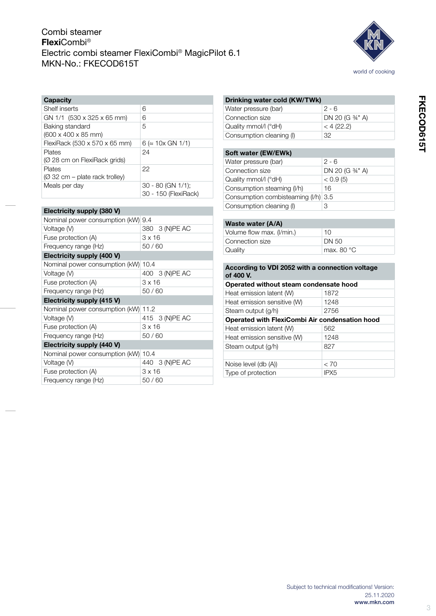# Combi steamer FlexiCombi® Electric combi steamer FlexiCombi® MagicPilot 6.1 MKN-No.: FKECOD615T



| <b>Capacity</b>                                    |                                           |
|----------------------------------------------------|-------------------------------------------|
| Shelf inserts                                      | 6                                         |
| GN 1/1 (530 x 325 x 65 mm)                         | 6                                         |
| Baking standard<br>$(600 \times 400 \times 85$ mm) | 5                                         |
| FlexiRack (530 x 570 x 65 mm)                      | $6 \approx 10 \times$ GN 1/1)             |
| Plates<br>(Ø 28 cm on FlexiRack grids)             | 24                                        |
| Plates<br>$(2)$ 32 cm – plate rack trolley)        | 22                                        |
| Meals per day                                      | 30 - 80 (GN 1/1);<br>30 - 150 (FlexiRack) |

| Electricity supply (380 V)         |                |
|------------------------------------|----------------|
| Nominal power consumption (kW) 9.4 |                |
| Voltage (V)                        | 380 3 (N)PE AC |
| Fuse protection (A)                | 3 x 16         |
| Frequency range (Hz)               | 50/60          |
| Electricity supply (400 V)         |                |
| Nominal power consumption (kW)     | 10.4           |
| Voltage (V)                        | 400 3 (N)PE AC |
| Fuse protection (A)                | 3 x 16         |
| Frequency range (Hz)               | 50/60          |
| Electricity supply (415 V)         |                |
| Nominal power consumption (kW)     | 11.2           |
| Voltage (V)                        | 415 3 (N)PE AC |
| Fuse protection (A)                | 3 x 16         |
| Frequency range (Hz)               | 50/60          |
| Electricity supply (440 V)         |                |
| Nominal power consumption (kW)     | 10.4           |
| Voltage (V)                        | 440 3 (N)PE AC |
| Fuse protection (A)                | 3 x 16         |
| Frequency range (Hz)               | 50 / 60        |

#### Drinking water cold (KW/TWk)

| Water pressure (bar)     | $2 - 6$          |
|--------------------------|------------------|
| Connection size          | DN 20 (G 3/4" A) |
| Quality mmol/l (°dH)     | < 4(22.2)        |
| Consumption cleaning (I) | 32               |

#### Soft water (EW/EWk)

| Water pressure (bar)                | $2 - 6$         |
|-------------------------------------|-----------------|
| Connection size                     | DN 20 (G 34" A) |
| Quality mmol/l (°dH)                | < 0.9(5)        |
| Consumption steaming (I/h)          | 16              |
| Consumption combisteaming (I/h) 3.5 |                 |
| Consumption cleaning (I)            |                 |
|                                     |                 |

#### Waste water (A/A)

| Volume flow max. (I/min.) | 10         |
|---------------------------|------------|
| Connection size           | I DN 50    |
| Quality                   | max. 80 °C |

#### According to VDI 2052 with a connection voltage of 400 V.

| Operated without steam condensate hood         |                  |
|------------------------------------------------|------------------|
| Heat emission latent (W)                       | 1872             |
| Heat emission sensitive (W)                    | 1248             |
| Steam output (g/h)                             | 2756             |
| Operated with FlexiCombi Air condensation hood |                  |
| Heat emission latent (W)                       | 562              |
| Heat emission sensitive (W)                    | 1248             |
| Steam output (g/h)                             | 827              |
|                                                |                  |
| Noise level (db (A))                           | < 70             |
| Type of protection                             | IPX <sub>5</sub> |
|                                                |                  |